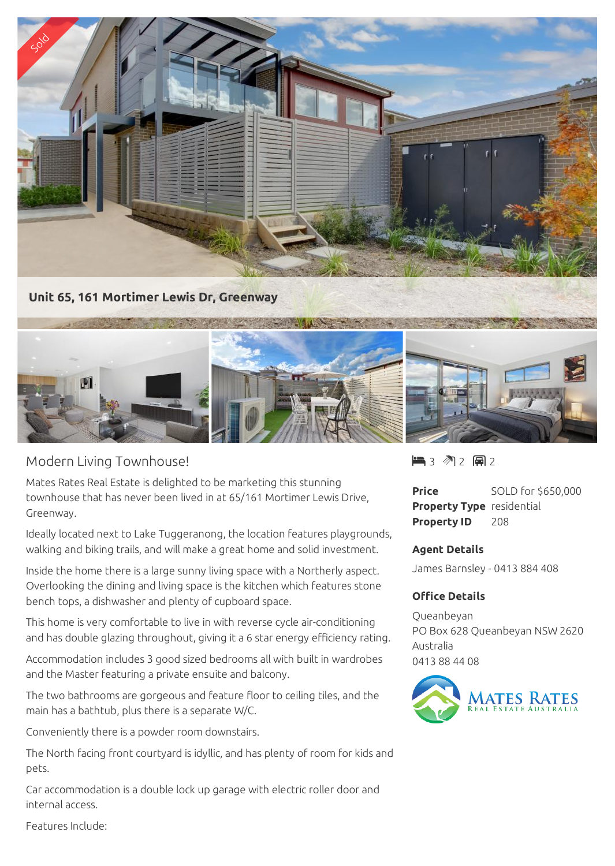

## Modern Living Townhouse!

Mates Rates Real Estate is delighted to be marketing this stunning townhouse that has never been lived in at 65/161 Mortimer Lewis Drive, Greenway.

Ideally located next to Lake Tuggeranong, the location features playgrounds, walking and biking trails, and will make a great home and solid investment.

Inside the home there is a large sunny living space with a Northerly aspect. Overlooking the dining and living space is the kitchen which features stone bench tops, a dishwasher and plenty of cupboard space.

This home is very comfortable to live in with reverse cycle air-conditioning and has double glazing throughout, giving it a 6 star energy efficiency rating.

Accommodation includes 3 good sized bedrooms all with built in wardrobes and the Master featuring a private ensuite and balcony.

The two bathrooms are gorgeous and feature floor to ceiling tiles, and the main has a bathtub, plus there is a separate W/C.

Conveniently there is a powder room downstairs.

The North facing front courtyard is idyllic, and has plenty of room for kids and pets.

Car accommodation is a double lock up garage with electric roller door and internal access.

 $\blacksquare$  3 2 2 2 2

**Price** SOLD for \$650,000 **Property Type** residential **Property ID** 208

## **Agent Details**

James Barnsley - 0413 884 408

## **Office Details**

Queanbeyan PO Box 628 Queanbeyan NSW 2620 Australia 0413 88 44 08



Features Include: